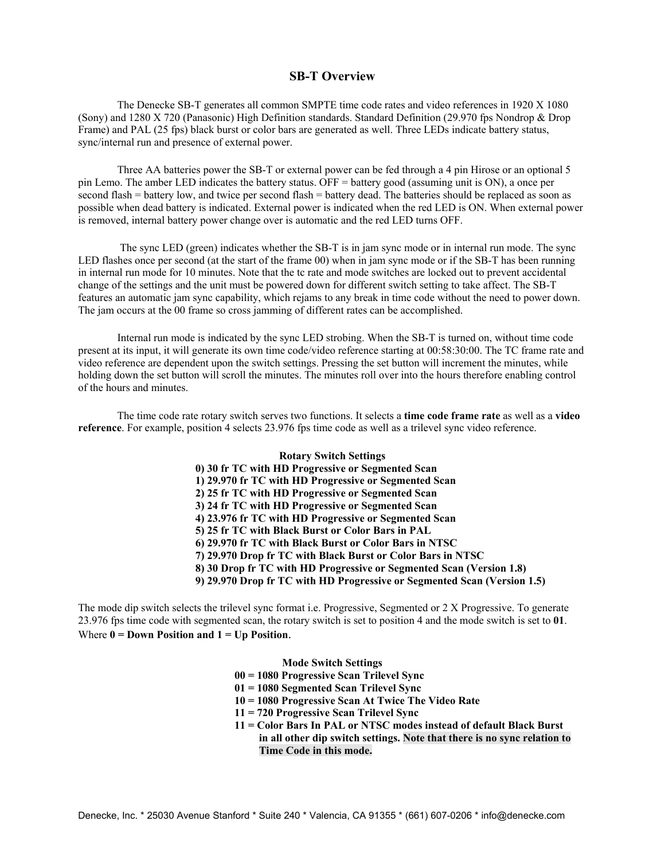## **SB-T Overview**

The Denecke SB-T generates all common SMPTE time code rates and video references in 1920 X 1080 (Sony) and 1280 X 720 (Panasonic) High Definition standards. Standard Definition (29.970 fps Nondrop & Drop Frame) and PAL (25 fps) black burst or color bars are generated as well. Three LEDs indicate battery status, sync/internal run and presence of external power.

 Three AA batteries power the SB-T or external power can be fed through a 4 pin Hirose or an optional 5 pin Lemo. The amber LED indicates the battery status. OFF = battery good (assuming unit is ON), a once per second flash = battery low, and twice per second flash = battery dead. The batteries should be replaced as soon as possible when dead battery is indicated. External power is indicated when the red LED is ON. When external power is removed, internal battery power change over is automatic and the red LED turns OFF.

 The sync LED (green) indicates whether the SB-T is in jam sync mode or in internal run mode. The sync LED flashes once per second (at the start of the frame 00) when in jam sync mode or if the SB-T has been running in internal run mode for 10 minutes. Note that the tc rate and mode switches are locked out to prevent accidental change of the settings and the unit must be powered down for different switch setting to take affect. The SB-T features an automatic jam sync capability, which rejams to any break in time code without the need to power down. The jam occurs at the 00 frame so cross jamming of different rates can be accomplished.

 Internal run mode is indicated by the sync LED strobing. When the SB-T is turned on, without time code present at its input, it will generate its own time code/video reference starting at 00:58:30:00. The TC frame rate and video reference are dependent upon the switch settings. Pressing the set button will increment the minutes, while holding down the set button will scroll the minutes. The minutes roll over into the hours therefore enabling control of the hours and minutes.

 The time code rate rotary switch serves two functions. It selects a **time code frame rate** as well as a **video reference**. For example, position 4 selects 23.976 fps time code as well as a trilevel sync video reference.

## **Rotary Switch Settings 0) 30 fr TC with HD Progressive or Segmented Scan 1) 29.970 fr TC with HD Progressive or Segmented Scan 2) 25 fr TC with HD Progressive or Segmented Scan 3) 24 fr TC with HD Progressive or Segmented Scan 4) 23.976 fr TC with HD Progressive or Segmented Scan 5) 25 fr TC with Black Burst or Color Bars in PAL 6) 29.970 fr TC with Black Burst or Color Bars in NTSC 7) 29.970 Drop fr TC with Black Burst or Color Bars in NTSC 8) 30 Drop fr TC with HD Progressive or Segmented Scan (Version 1.8) 9) 29.970 Drop fr TC with HD Progressive or Segmented Scan (Version 1.5)**

The mode dip switch selects the trilevel sync format i.e. Progressive, Segmented or 2 X Progressive. To generate 23.976 fps time code with segmented scan, the rotary switch is set to position 4 and the mode switch is set to **01**. Where  $0 = Down Position and 1 = Up Position$ .

**Mode Switch Settings** 

**00 = 1080 Progressive Scan Trilevel Sync**

- **01 = 1080 Segmented Scan Trilevel Sync**
- **10 = 1080 Progressive Scan At Twice The Video Rate**
- **11 = 720 Progressive Scan Trilevel Sync**
- **11 = Color Bars In PAL or NTSC modes instead of default Black Burst in all other dip switch settings. Note that there is no sync relation to Time Code in this mode.**